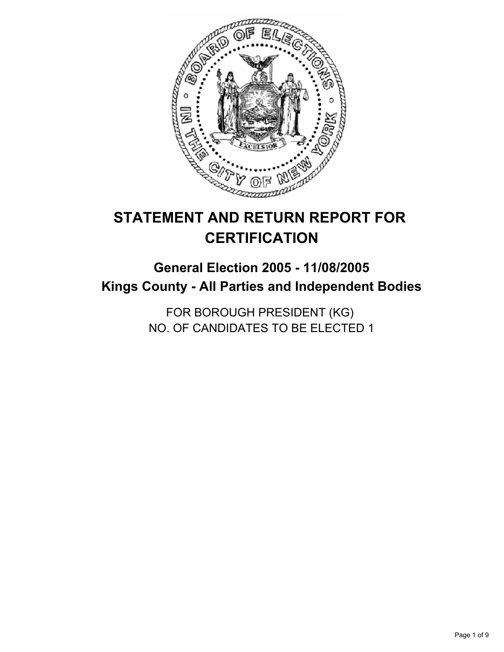

# **STATEMENT AND RETURN REPORT FOR CERTIFICATION**

# **General Election 2005 - 11/08/2005 Kings County - All Parties and Independent Bodies**

FOR BOROUGH PRESIDENT (KG) NO. OF CANDIDATES TO BE ELECTED 1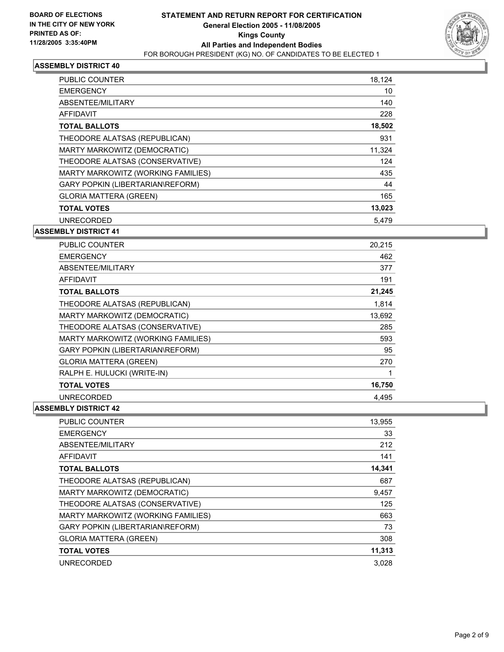

| PUBLIC COUNTER                     | 18,124 |  |
|------------------------------------|--------|--|
| <b>EMERGENCY</b>                   | 10     |  |
| ABSENTEE/MILITARY                  | 140    |  |
| AFFIDAVIT                          | 228    |  |
| <b>TOTAL BALLOTS</b>               | 18,502 |  |
| THEODORE ALATSAS (REPUBLICAN)      | 931    |  |
| MARTY MARKOWITZ (DEMOCRATIC)       | 11,324 |  |
| THEODORE ALATSAS (CONSERVATIVE)    | 124    |  |
| MARTY MARKOWITZ (WORKING FAMILIES) | 435    |  |
| GARY POPKIN (LIBERTARIAN\REFORM)   | 44     |  |
| <b>GLORIA MATTERA (GREEN)</b>      | 165    |  |
| <b>TOTAL VOTES</b>                 | 13,023 |  |
| <b>UNRECORDED</b>                  | 5,479  |  |

#### **ASSEMBLY DISTRICT 41**

| <b>PUBLIC COUNTER</b>              | 20,215 |
|------------------------------------|--------|
| <b>EMERGENCY</b>                   | 462    |
| ABSENTEE/MILITARY                  | 377    |
| <b>AFFIDAVIT</b>                   | 191    |
| <b>TOTAL BALLOTS</b>               | 21,245 |
| THEODORE ALATSAS (REPUBLICAN)      | 1,814  |
| MARTY MARKOWITZ (DEMOCRATIC)       | 13,692 |
| THEODORE ALATSAS (CONSERVATIVE)    | 285    |
| MARTY MARKOWITZ (WORKING FAMILIES) | 593    |
| GARY POPKIN (LIBERTARIAN\REFORM)   | 95     |
| <b>GLORIA MATTERA (GREEN)</b>      | 270    |
| RALPH E. HULUCKI (WRITE-IN)        |        |
| <b>TOTAL VOTES</b>                 | 16,750 |
| <b>UNRECORDED</b>                  | 4.495  |

| <b>PUBLIC COUNTER</b>                   | 13,955 |
|-----------------------------------------|--------|
| <b>EMERGENCY</b>                        | 33     |
| ABSENTEE/MILITARY                       | 212    |
| <b>AFFIDAVIT</b>                        | 141    |
| <b>TOTAL BALLOTS</b>                    | 14,341 |
| THEODORE ALATSAS (REPUBLICAN)           | 687    |
| MARTY MARKOWITZ (DEMOCRATIC)            | 9,457  |
| THEODORE ALATSAS (CONSERVATIVE)         | 125    |
| MARTY MARKOWITZ (WORKING FAMILIES)      | 663    |
| <b>GARY POPKIN (LIBERTARIAN\REFORM)</b> | 73     |
| <b>GLORIA MATTERA (GREEN)</b>           | 308    |
| <b>TOTAL VOTES</b>                      | 11,313 |
| <b>UNRECORDED</b>                       | 3.028  |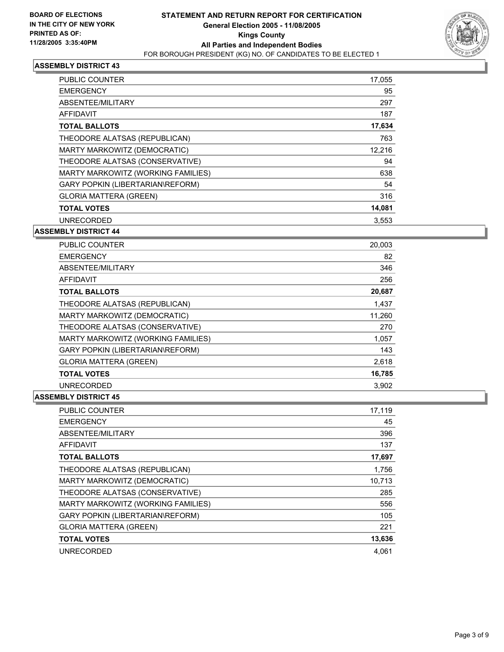

| PUBLIC COUNTER                     | 17,055 |  |
|------------------------------------|--------|--|
| <b>EMERGENCY</b>                   | 95     |  |
| ABSENTEE/MILITARY                  | 297    |  |
| AFFIDAVIT                          | 187    |  |
| <b>TOTAL BALLOTS</b>               | 17,634 |  |
| THEODORE ALATSAS (REPUBLICAN)      | 763    |  |
| MARTY MARKOWITZ (DEMOCRATIC)       | 12,216 |  |
| THEODORE ALATSAS (CONSERVATIVE)    | 94     |  |
| MARTY MARKOWITZ (WORKING FAMILIES) | 638    |  |
| GARY POPKIN (LIBERTARIAN\REFORM)   | 54     |  |
| <b>GLORIA MATTERA (GREEN)</b>      | 316    |  |
| <b>TOTAL VOTES</b>                 | 14,081 |  |
| <b>UNRECORDED</b>                  | 3,553  |  |

#### **ASSEMBLY DISTRICT 44**

| PUBLIC COUNTER                     | 20,003 |  |
|------------------------------------|--------|--|
| <b>EMERGENCY</b>                   | 82     |  |
| ABSENTEE/MILITARY                  | 346    |  |
| <b>AFFIDAVIT</b>                   | 256    |  |
| <b>TOTAL BALLOTS</b>               | 20,687 |  |
| THEODORE ALATSAS (REPUBLICAN)      | 1,437  |  |
| MARTY MARKOWITZ (DEMOCRATIC)       | 11,260 |  |
| THEODORE ALATSAS (CONSERVATIVE)    | 270    |  |
| MARTY MARKOWITZ (WORKING FAMILIES) | 1,057  |  |
| GARY POPKIN (LIBERTARIAN\REFORM)   | 143    |  |
| <b>GLORIA MATTERA (GREEN)</b>      | 2,618  |  |
| <b>TOTAL VOTES</b>                 | 16,785 |  |
| <b>UNRECORDED</b>                  | 3.902  |  |

| <b>PUBLIC COUNTER</b>              | 17,119 |
|------------------------------------|--------|
| <b>EMERGENCY</b>                   | 45     |
| ABSENTEE/MILITARY                  | 396    |
| AFFIDAVIT                          | 137    |
| <b>TOTAL BALLOTS</b>               | 17,697 |
| THEODORE ALATSAS (REPUBLICAN)      | 1,756  |
| MARTY MARKOWITZ (DEMOCRATIC)       | 10,713 |
| THEODORE ALATSAS (CONSERVATIVE)    | 285    |
| MARTY MARKOWITZ (WORKING FAMILIES) | 556    |
| GARY POPKIN (LIBERTARIAN\REFORM)   | 105    |
| <b>GLORIA MATTERA (GREEN)</b>      | 221    |
| <b>TOTAL VOTES</b>                 | 13,636 |
| <b>UNRECORDED</b>                  | 4,061  |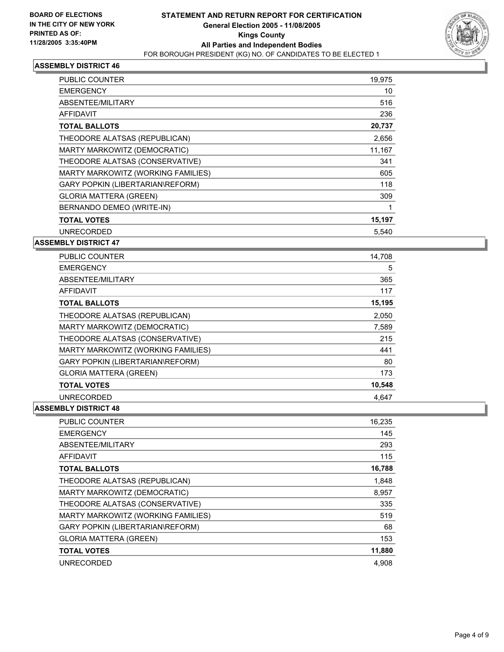

| PUBLIC COUNTER                     | 19,975 |  |
|------------------------------------|--------|--|
| <b>EMERGENCY</b>                   | 10     |  |
| ABSENTEE/MILITARY                  | 516    |  |
| AFFIDAVIT                          | 236    |  |
| <b>TOTAL BALLOTS</b>               | 20,737 |  |
| THEODORE ALATSAS (REPUBLICAN)      | 2,656  |  |
| MARTY MARKOWITZ (DEMOCRATIC)       | 11,167 |  |
| THEODORE ALATSAS (CONSERVATIVE)    | 341    |  |
| MARTY MARKOWITZ (WORKING FAMILIES) | 605    |  |
| GARY POPKIN (LIBERTARIAN\REFORM)   | 118    |  |
| <b>GLORIA MATTERA (GREEN)</b>      | 309    |  |
| BERNANDO DEMEO (WRITE-IN)          |        |  |
| <b>TOTAL VOTES</b>                 | 15,197 |  |
| <b>UNRECORDED</b>                  | 5.540  |  |

#### **ASSEMBLY DISTRICT 47**

| PUBLIC COUNTER                     | 14,708 |  |
|------------------------------------|--------|--|
| <b>EMERGENCY</b>                   | 5      |  |
| ABSENTEE/MILITARY                  | 365    |  |
| AFFIDAVIT                          | 117    |  |
| <b>TOTAL BALLOTS</b>               | 15,195 |  |
| THEODORE ALATSAS (REPUBLICAN)      | 2,050  |  |
| MARTY MARKOWITZ (DEMOCRATIC)       | 7,589  |  |
| THEODORE ALATSAS (CONSERVATIVE)    | 215    |  |
| MARTY MARKOWITZ (WORKING FAMILIES) | 441    |  |
| GARY POPKIN (LIBERTARIAN\REFORM)   | 80     |  |
| <b>GLORIA MATTERA (GREEN)</b>      | 173    |  |
| <b>TOTAL VOTES</b>                 | 10,548 |  |
| <b>UNRECORDED</b>                  | 4.647  |  |

| <b>PUBLIC COUNTER</b>                   | 16,235 |
|-----------------------------------------|--------|
| <b>EMERGENCY</b>                        | 145    |
| ABSENTEE/MILITARY                       | 293    |
| <b>AFFIDAVIT</b>                        | 115    |
| <b>TOTAL BALLOTS</b>                    | 16,788 |
| THEODORE ALATSAS (REPUBLICAN)           | 1,848  |
| MARTY MARKOWITZ (DEMOCRATIC)            | 8,957  |
| THEODORE ALATSAS (CONSERVATIVE)         | 335    |
| MARTY MARKOWITZ (WORKING FAMILIES)      | 519    |
| <b>GARY POPKIN (LIBERTARIAN\REFORM)</b> | 68     |
| <b>GLORIA MATTERA (GREEN)</b>           | 153    |
| <b>TOTAL VOTES</b>                      | 11,880 |
| <b>UNRECORDED</b>                       | 4.908  |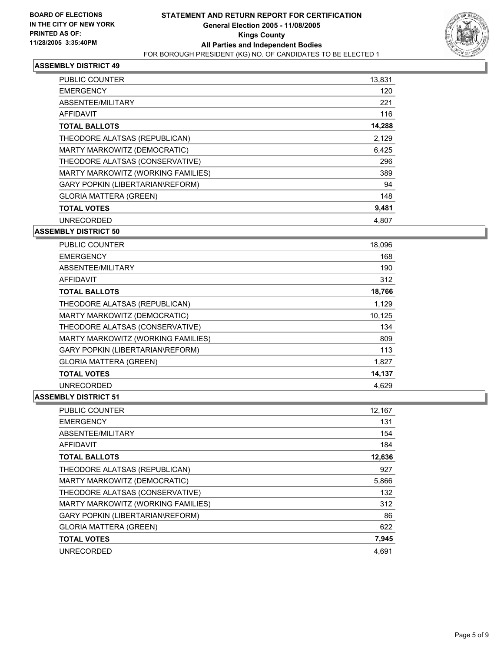

| PUBLIC COUNTER                     | 13,831 |
|------------------------------------|--------|
| <b>EMERGENCY</b>                   | 120    |
| ABSENTEE/MILITARY                  | 221    |
| AFFIDAVIT                          | 116    |
| <b>TOTAL BALLOTS</b>               | 14,288 |
| THEODORE ALATSAS (REPUBLICAN)      | 2,129  |
| MARTY MARKOWITZ (DEMOCRATIC)       | 6,425  |
| THEODORE ALATSAS (CONSERVATIVE)    | 296    |
| MARTY MARKOWITZ (WORKING FAMILIES) | 389    |
| GARY POPKIN (LIBERTARIAN\REFORM)   | 94     |
| <b>GLORIA MATTERA (GREEN)</b>      | 148    |
| <b>TOTAL VOTES</b>                 | 9,481  |
| <b>UNRECORDED</b>                  | 4.807  |

#### **ASSEMBLY DISTRICT 50**

| <b>PUBLIC COUNTER</b>                   | 18,096 |  |
|-----------------------------------------|--------|--|
| <b>EMERGENCY</b>                        | 168    |  |
| ABSENTEE/MILITARY                       | 190    |  |
| AFFIDAVIT                               | 312    |  |
| <b>TOTAL BALLOTS</b>                    | 18,766 |  |
| THEODORE ALATSAS (REPUBLICAN)           | 1,129  |  |
| MARTY MARKOWITZ (DEMOCRATIC)            | 10,125 |  |
| THEODORE ALATSAS (CONSERVATIVE)         | 134    |  |
| MARTY MARKOWITZ (WORKING FAMILIES)      | 809    |  |
| <b>GARY POPKIN (LIBERTARIAN\REFORM)</b> | 113    |  |
| <b>GLORIA MATTERA (GREEN)</b>           | 1,827  |  |
| <b>TOTAL VOTES</b>                      | 14,137 |  |
| <b>UNRECORDED</b>                       | 4.629  |  |

| <b>PUBLIC COUNTER</b>              | 12,167 |
|------------------------------------|--------|
| <b>EMERGENCY</b>                   | 131    |
| ABSENTEE/MILITARY                  | 154    |
| <b>AFFIDAVIT</b>                   | 184    |
| <b>TOTAL BALLOTS</b>               | 12,636 |
| THEODORE ALATSAS (REPUBLICAN)      | 927    |
| MARTY MARKOWITZ (DEMOCRATIC)       | 5,866  |
| THEODORE ALATSAS (CONSERVATIVE)    | 132    |
| MARTY MARKOWITZ (WORKING FAMILIES) | 312    |
| GARY POPKIN (LIBERTARIAN\REFORM)   | 86     |
| <b>GLORIA MATTERA (GREEN)</b>      | 622    |
| <b>TOTAL VOTES</b>                 | 7,945  |
| <b>UNRECORDED</b>                  | 4,691  |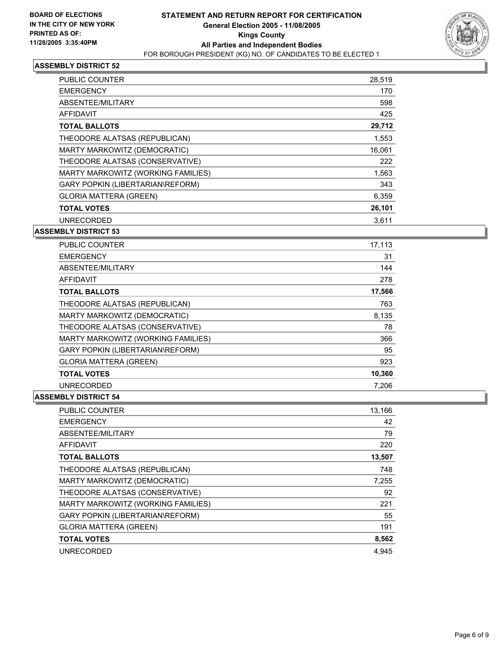

| PUBLIC COUNTER                     | 28,519 |
|------------------------------------|--------|
| <b>EMERGENCY</b>                   | 170    |
| ABSENTEE/MILITARY                  | 598    |
| AFFIDAVIT                          | 425    |
| <b>TOTAL BALLOTS</b>               | 29,712 |
| THEODORE ALATSAS (REPUBLICAN)      | 1,553  |
| MARTY MARKOWITZ (DEMOCRATIC)       | 16.061 |
| THEODORE ALATSAS (CONSERVATIVE)    | 222    |
| MARTY MARKOWITZ (WORKING FAMILIES) | 1,563  |
| GARY POPKIN (LIBERTARIAN\REFORM)   | 343    |
| <b>GLORIA MATTERA (GREEN)</b>      | 6,359  |
| <b>TOTAL VOTES</b>                 | 26,101 |
| <b>UNRECORDED</b>                  | 3,611  |

#### **ASSEMBLY DISTRICT 53**

| <b>PUBLIC COUNTER</b>                   | 17,113 |  |
|-----------------------------------------|--------|--|
| <b>EMERGENCY</b>                        | 31     |  |
| ABSENTEE/MILITARY                       | 144    |  |
| AFFIDAVIT                               | 278    |  |
| <b>TOTAL BALLOTS</b>                    | 17,566 |  |
| THEODORE ALATSAS (REPUBLICAN)           | 763    |  |
| MARTY MARKOWITZ (DEMOCRATIC)            | 8,135  |  |
| THEODORE ALATSAS (CONSERVATIVE)         | 78     |  |
| MARTY MARKOWITZ (WORKING FAMILIES)      | 366    |  |
| <b>GARY POPKIN (LIBERTARIAN\REFORM)</b> | 95     |  |
| <b>GLORIA MATTERA (GREEN)</b>           | 923    |  |
| <b>TOTAL VOTES</b>                      | 10,360 |  |
| <b>UNRECORDED</b>                       | 7.206  |  |

| <b>PUBLIC COUNTER</b>                   | 13,166 |
|-----------------------------------------|--------|
| <b>EMERGENCY</b>                        | 42     |
| ABSENTEE/MILITARY                       | 79     |
| <b>AFFIDAVIT</b>                        | 220    |
| <b>TOTAL BALLOTS</b>                    | 13,507 |
| THEODORE ALATSAS (REPUBLICAN)           | 748    |
| MARTY MARKOWITZ (DEMOCRATIC)            | 7,255  |
| THEODORE ALATSAS (CONSERVATIVE)         | 92     |
| MARTY MARKOWITZ (WORKING FAMILIES)      | 221    |
| <b>GARY POPKIN (LIBERTARIAN\REFORM)</b> | 55     |
| <b>GLORIA MATTERA (GREEN)</b>           | 191    |
| <b>TOTAL VOTES</b>                      | 8,562  |
| <b>UNRECORDED</b>                       | 4.945  |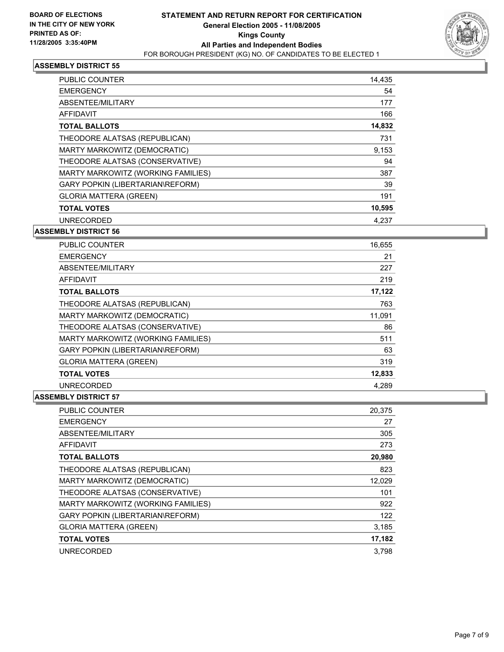

| PUBLIC COUNTER                     | 14,435 |
|------------------------------------|--------|
| <b>EMERGENCY</b>                   | 54     |
| ABSENTEE/MILITARY                  | 177    |
| AFFIDAVIT                          | 166    |
| <b>TOTAL BALLOTS</b>               | 14,832 |
| THEODORE ALATSAS (REPUBLICAN)      | 731    |
| MARTY MARKOWITZ (DEMOCRATIC)       | 9,153  |
| THEODORE ALATSAS (CONSERVATIVE)    | 94     |
| MARTY MARKOWITZ (WORKING FAMILIES) | 387    |
| GARY POPKIN (LIBERTARIAN\REFORM)   | 39     |
| <b>GLORIA MATTERA (GREEN)</b>      | 191    |
| <b>TOTAL VOTES</b>                 | 10,595 |
| <b>UNRECORDED</b>                  | 4.237  |

#### **ASSEMBLY DISTRICT 56**

| <b>PUBLIC COUNTER</b>              | 16,655 |  |
|------------------------------------|--------|--|
| <b>EMERGENCY</b>                   | 21     |  |
| ABSENTEE/MILITARY                  | 227    |  |
| <b>AFFIDAVIT</b>                   | 219    |  |
| <b>TOTAL BALLOTS</b>               | 17,122 |  |
| THEODORE ALATSAS (REPUBLICAN)      | 763    |  |
| MARTY MARKOWITZ (DEMOCRATIC)       | 11,091 |  |
| THEODORE ALATSAS (CONSERVATIVE)    | 86     |  |
| MARTY MARKOWITZ (WORKING FAMILIES) | 511    |  |
| GARY POPKIN (LIBERTARIAN\REFORM)   | 63     |  |
| <b>GLORIA MATTERA (GREEN)</b>      | 319    |  |
| <b>TOTAL VOTES</b>                 | 12,833 |  |
| <b>UNRECORDED</b>                  | 4.289  |  |

| PUBLIC COUNTER                     | 20,375 |
|------------------------------------|--------|
| <b>EMERGENCY</b>                   | 27     |
| ABSENTEE/MILITARY                  | 305    |
| AFFIDAVIT                          | 273    |
| <b>TOTAL BALLOTS</b>               | 20,980 |
| THEODORE ALATSAS (REPUBLICAN)      | 823    |
| MARTY MARKOWITZ (DEMOCRATIC)       | 12,029 |
| THEODORE ALATSAS (CONSERVATIVE)    | 101    |
| MARTY MARKOWITZ (WORKING FAMILIES) | 922    |
| GARY POPKIN (LIBERTARIAN\REFORM)   | 122    |
| <b>GLORIA MATTERA (GREEN)</b>      | 3,185  |
| <b>TOTAL VOTES</b>                 | 17,182 |
| <b>UNRECORDED</b>                  | 3.798  |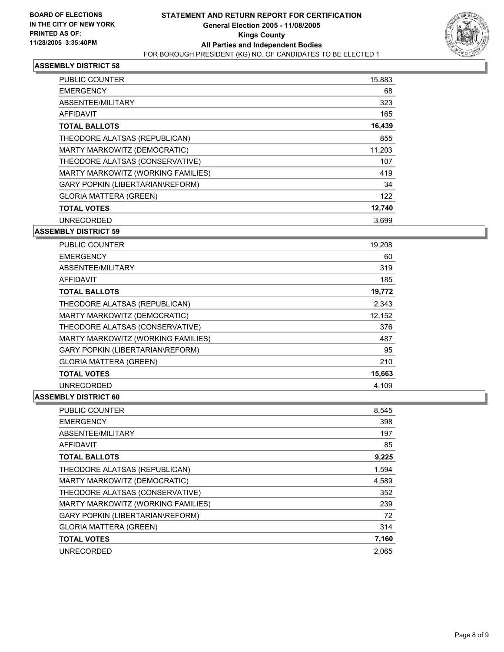

| PUBLIC COUNTER                     | 15,883 |  |
|------------------------------------|--------|--|
| <b>EMERGENCY</b>                   | 68     |  |
| ABSENTEE/MILITARY                  | 323    |  |
| AFFIDAVIT                          | 165    |  |
| <b>TOTAL BALLOTS</b>               | 16,439 |  |
| THEODORE ALATSAS (REPUBLICAN)      | 855    |  |
| MARTY MARKOWITZ (DEMOCRATIC)       | 11,203 |  |
| THEODORE ALATSAS (CONSERVATIVE)    | 107    |  |
| MARTY MARKOWITZ (WORKING FAMILIES) | 419    |  |
| GARY POPKIN (LIBERTARIAN\REFORM)   | 34     |  |
| <b>GLORIA MATTERA (GREEN)</b>      | 122    |  |
| <b>TOTAL VOTES</b>                 | 12,740 |  |
| <b>UNRECORDED</b>                  | 3.699  |  |

#### **ASSEMBLY DISTRICT 59**

| <b>PUBLIC COUNTER</b>                   | 19,208 |  |
|-----------------------------------------|--------|--|
| <b>EMERGENCY</b>                        | 60     |  |
| ABSENTEE/MILITARY                       | 319    |  |
| AFFIDAVIT                               | 185    |  |
| <b>TOTAL BALLOTS</b>                    | 19,772 |  |
| THEODORE ALATSAS (REPUBLICAN)           | 2,343  |  |
| MARTY MARKOWITZ (DEMOCRATIC)            | 12,152 |  |
| THEODORE ALATSAS (CONSERVATIVE)         | 376    |  |
| MARTY MARKOWITZ (WORKING FAMILIES)      | 487    |  |
| <b>GARY POPKIN (LIBERTARIAN\REFORM)</b> | 95     |  |
| <b>GLORIA MATTERA (GREEN)</b>           | 210    |  |
| <b>TOTAL VOTES</b>                      | 15,663 |  |
| <b>UNRECORDED</b>                       | 4.109  |  |

| PUBLIC COUNTER                     | 8,545 |
|------------------------------------|-------|
| <b>EMERGENCY</b>                   | 398   |
| ABSENTEE/MILITARY                  | 197   |
| AFFIDAVIT                          | 85    |
| <b>TOTAL BALLOTS</b>               | 9,225 |
| THEODORE ALATSAS (REPUBLICAN)      | 1,594 |
| MARTY MARKOWITZ (DEMOCRATIC)       | 4,589 |
| THEODORE ALATSAS (CONSERVATIVE)    | 352   |
| MARTY MARKOWITZ (WORKING FAMILIES) | 239   |
| GARY POPKIN (LIBERTARIAN\REFORM)   | 72    |
| <b>GLORIA MATTERA (GREEN)</b>      | 314   |
| <b>TOTAL VOTES</b>                 | 7,160 |
| <b>UNRECORDED</b>                  | 2.065 |